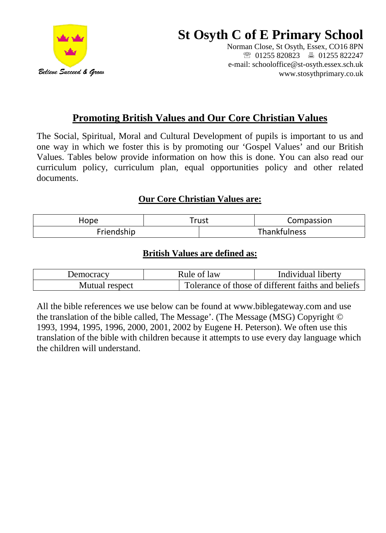

# **St Osyth C of E Primary School**

Norman Close, St Osyth, Essex, CO16 8PN ● 01255 820823 ■ 01255 822247 e-mail: schooloffice@st-osyth.essex.sch.uk www.stosythprimary.co.uk

# **Promoting British Values and Our Core Christian Values**

The Social, Spiritual, Moral and Cultural Development of pupils is important to us and one way in which we foster this is by promoting our 'Gospel Values' and our British Values. Tables below provide information on how this is done. You can also read our curriculum policy, curriculum plan, equal opportunities policy and other related documents.

# **Our Core Christian Values are:**

| Hope       |  | -rust               | Compassion |
|------------|--|---------------------|------------|
| Friendship |  | <b>Thankfulness</b> |            |

# **British Values are defined as:**

| Democracy      | Rule of law | Individual liberty                                 |  |
|----------------|-------------|----------------------------------------------------|--|
| Mutual respect |             | Tolerance of those of different faiths and beliefs |  |

All the bible references we use below can be found at www.biblegateway.com and use the translation of the bible called, The Message'. (The Message (MSG) Copyright © 1993, 1994, 1995, 1996, 2000, 2001, 2002 by Eugene H. Peterson). We often use this translation of the bible with children because it attempts to use every day language which the children will understand.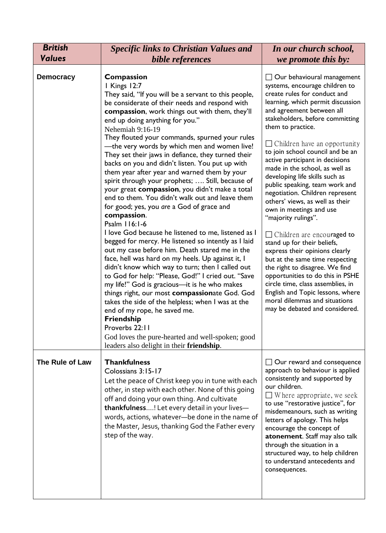| <b>British</b>   | <b>Specific links to Christian Values and</b>                                                                                                                                                                                                                                                                                                                                                                                                                                                                                                                                                                                                                                                                                                                                                                                                                                                                                                                                                                                                                                                                                                                                                                                                                                                                                                                                                        | In our church school,                                                                                                                                                                                                                                                                                                                                                                                                                                                                                                                                                                                                                                                                                                                                                                                                                                                                                                                |
|------------------|------------------------------------------------------------------------------------------------------------------------------------------------------------------------------------------------------------------------------------------------------------------------------------------------------------------------------------------------------------------------------------------------------------------------------------------------------------------------------------------------------------------------------------------------------------------------------------------------------------------------------------------------------------------------------------------------------------------------------------------------------------------------------------------------------------------------------------------------------------------------------------------------------------------------------------------------------------------------------------------------------------------------------------------------------------------------------------------------------------------------------------------------------------------------------------------------------------------------------------------------------------------------------------------------------------------------------------------------------------------------------------------------------|--------------------------------------------------------------------------------------------------------------------------------------------------------------------------------------------------------------------------------------------------------------------------------------------------------------------------------------------------------------------------------------------------------------------------------------------------------------------------------------------------------------------------------------------------------------------------------------------------------------------------------------------------------------------------------------------------------------------------------------------------------------------------------------------------------------------------------------------------------------------------------------------------------------------------------------|
| <b>Values</b>    | bible references                                                                                                                                                                                                                                                                                                                                                                                                                                                                                                                                                                                                                                                                                                                                                                                                                                                                                                                                                                                                                                                                                                                                                                                                                                                                                                                                                                                     | we promote this by:                                                                                                                                                                                                                                                                                                                                                                                                                                                                                                                                                                                                                                                                                                                                                                                                                                                                                                                  |
| <b>Democracy</b> | Compassion<br>I Kings 12:7<br>They said, "If you will be a servant to this people,<br>be considerate of their needs and respond with<br>compassion, work things out with them, they'll<br>end up doing anything for you."<br>Nehemiah 9:16-19<br>They flouted your commands, spurned your rules<br>-the very words by which men and women live!<br>They set their jaws in defiance, they turned their<br>backs on you and didn't listen. You put up with<br>them year after year and warned them by your<br>spirit through your prophets;  Still, because of<br>your great compassion, you didn't make a total<br>end to them. You didn't walk out and leave them<br>for good; yes, you are a God of grace and<br>compassion.<br>Psalm 116:1-6<br>I love God because he listened to me, listened as I<br>begged for mercy. He listened so intently as I laid<br>out my case before him. Death stared me in the<br>face, hell was hard on my heels. Up against it, I<br>didn't know which way to turn; then I called out<br>to God for help: "Please, God!" I cried out. "Save<br>my life!" God is gracious-it is he who makes<br>things right, our most compassionate God. God<br>takes the side of the helpless; when I was at the<br>end of my rope, he saved me.<br>Friendship<br>Proverbs 22:11<br>God loves the pure-hearted and well-spoken; good<br>leaders also delight in their friendship. | $\Box$ Our behavioural management<br>systems, encourage children to<br>create rules for conduct and<br>learning, which permit discussion<br>and agreement between all<br>stakeholders, before committing<br>them to practice.<br>$\Box$ Children have an opportunity<br>to join school council and be an<br>active participant in decisions<br>made in the school, as well as<br>developing life skills such as<br>public speaking, team work and<br>negotiation. Children represent<br>others' views, as well as their<br>own in meetings and use<br>"majority rulings".<br>$\Box$ Children are encouraged to<br>stand up for their beliefs,<br>express their opinions clearly<br>but at the same time respecting<br>the right to disagree. We find<br>opportunities to do this in PSHE<br>circle time, class assemblies, in<br>English and Topic lessons, where<br>moral dilemmas and situations<br>may be debated and considered. |
| The Rule of Law  | <b>Thankfulness</b><br>Colossians 3:15-17<br>Let the peace of Christ keep you in tune with each<br>other, in step with each other. None of this going<br>off and doing your own thing. And cultivate<br>thankfulness! Let every detail in your lives-<br>words, actions, whatever-be done in the name of<br>the Master, Jesus, thanking God the Father every<br>step of the way.                                                                                                                                                                                                                                                                                                                                                                                                                                                                                                                                                                                                                                                                                                                                                                                                                                                                                                                                                                                                                     | $\Box$ Our reward and consequence<br>approach to behaviour is applied<br>consistently and supported by<br>our children.<br>$\Box$ Where appropriate, we seek<br>to use "restorative justice", for<br>misdemeanours, such as writing<br>letters of apology. This helps<br>encourage the concept of<br>atonement. Staff may also talk<br>through the situation in a<br>structured way, to help children<br>to understand antecedents and<br>consequences.                                                                                                                                                                                                                                                                                                                                                                                                                                                                              |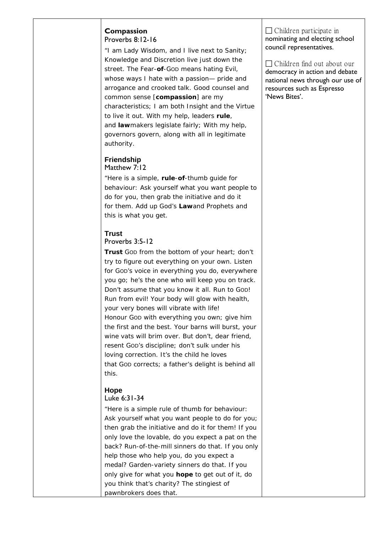#### **Compassion** Proverbs 8:12-16

"I am Lady Wisdom, and I live next to Sanity; Knowledge and Discretion live just down the street. The Fear-**of**-GOD means hating Evil, whose ways I hate with a passion— pride and arrogance and crooked talk. Good counsel and common sense [**compassion**] are my characteristics; I am both Insight and the Virtue to live it out. With my help, leaders **rule**, and **law**makers legislate fairly; With my help, governors govern, along with all in legitimate authority.

#### **Friendship** [Matthew 7:12](https://www.biblegateway.com/passage/?search=Matthew+7:12&version=MSG)

"Here is a simple, **rule**-**of**-thumb guide for behaviour: Ask yourself what you want people to do for you, then grab the initiative and do it for *them*. Add up God's **Law**and Prophets and this is what you get.

## **Trust**

## Proverbs 3:5-12

**Trust** GOD from the bottom of your heart; don't try to figure out everything on your own. Listen for GOD's voice in everything you do, everywhere you go; he's the one who will keep you on track. Don't assume that you know it all. Run to GOD! Run from evil! Your body will glow with health, your very bones will vibrate with life! Honour GOD with everything you own; give him the first and the best. Your barns will burst, your wine vats will brim over. But don't, dear friend, resent GOD's discipline; don't sulk under his loving correction. It's the child he loves that GOD corrects; a father's delight is behind all this.

## **Hope**

## [Luke 6:31-34](https://www.biblegateway.com/passage/?search=Luke+6:31&version=MSG)

"Here is a simple rule of thumb for behaviour: Ask yourself what you want people to do for you; then grab the initiative and do it for *them*! If you only love the lovable, do you expect a pat on the back? Run-of-the-mill sinners do that. If you only help those who help you, do you expect a medal? Garden-variety sinners do that. If you only give for what you **hope** to get out of it, do you think that's charity? The stingiest of pawnbrokers does that.

 $\Box$  Children participate in nominating and electing school council representatives.

 Children find out about our democracy in action and debate national news through our use of resources such as Espresso 'News Bites'.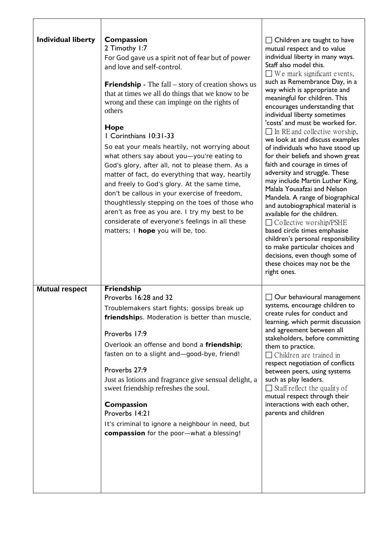| <b>Individual liberty</b> | Compassion<br>2 Timothy 1:7<br>For God gave us a spirit not of fear but of power<br>and love and self-control.<br><b>Friendship</b> - The fall $-$ story of creation shows us<br>that at times we all do things that we know to be<br>wrong and these can impinge on the rights of<br>others<br>Hope<br>I Corinthians 10:31-33<br>So eat your meals heartily, not worrying about<br>what others say about you-you're eating to<br>God's glory, after all, not to please them. As a<br>matter of fact, do everything that way, heartily<br>and freely to God's glory. At the same time,<br>don't be callous in your exercise of freedom,<br>thoughtlessly stepping on the toes of those who<br>aren't as free as you are. I try my best to be<br>considerate of everyone's feelings in all these<br>matters; I hope you will be, too. | $\Box$ Children are taught to have<br>mutual respect and to value<br>individual liberty in many ways.<br>Staff also model this.<br>$\Box$ We mark significant events,<br>such as Remembrance Day, in a<br>way which is appropriate and<br>meaningful for children. This<br>encourages understanding that<br>individual liberty sometimes<br>'costs' and must be worked for.<br>$\Box$ In RE and collective worship,<br>we look at and discuss examples<br>of individuals who have stood up<br>for their beliefs and shown great<br>faith and courage in times of<br>adversity and struggle. These<br>may include Martin Luther King,<br>Malala Yousafzai and Nelson<br>Mandela. A range of biographical<br>and autobiographical material is<br>available for the children.<br>$\Box$ Collective worship/PSHE<br>based circle times emphasise<br>children's personal responsibility<br>to make particular choices and<br>decisions, even though some of<br>these choices may not be the<br>right ones. |
|---------------------------|--------------------------------------------------------------------------------------------------------------------------------------------------------------------------------------------------------------------------------------------------------------------------------------------------------------------------------------------------------------------------------------------------------------------------------------------------------------------------------------------------------------------------------------------------------------------------------------------------------------------------------------------------------------------------------------------------------------------------------------------------------------------------------------------------------------------------------------|-------------------------------------------------------------------------------------------------------------------------------------------------------------------------------------------------------------------------------------------------------------------------------------------------------------------------------------------------------------------------------------------------------------------------------------------------------------------------------------------------------------------------------------------------------------------------------------------------------------------------------------------------------------------------------------------------------------------------------------------------------------------------------------------------------------------------------------------------------------------------------------------------------------------------------------------------------------------------------------------------------|
| <b>Mutual respect</b>     | <b>Friendship</b><br>Proverbs 16:28 and 32<br>Troublemakers start fights; gossips break up<br>friendships. Moderation is better than muscle,<br>Proverbs 17:9<br>Overlook an offense and bond a friendship;<br>fasten on to a slight and-good-bye, friend!<br>Proverbs 27:9<br>Just as lotions and fragrance give sensual delight, a<br>sweet friendship refreshes the soul.<br>Compassion<br>Proverbs 14:21<br>It's criminal to ignore a neighbour in need, but<br>compassion for the poor-what a blessing!                                                                                                                                                                                                                                                                                                                         | Our behavioural management<br>systems, encourage children to<br>create rules for conduct and<br>learning, which permit discussion<br>and agreement between all<br>stakeholders, before committing<br>them to practice.<br>$\Box$ Children are trained in<br>respect negotiation of conflicts<br>between peers, using systems<br>such as play leaders.<br>$\Box$ Staff reflect the quality of<br>mutual respect through their<br>interactions with each other,<br>parents and children                                                                                                                                                                                                                                                                                                                                                                                                                                                                                                                 |

┑